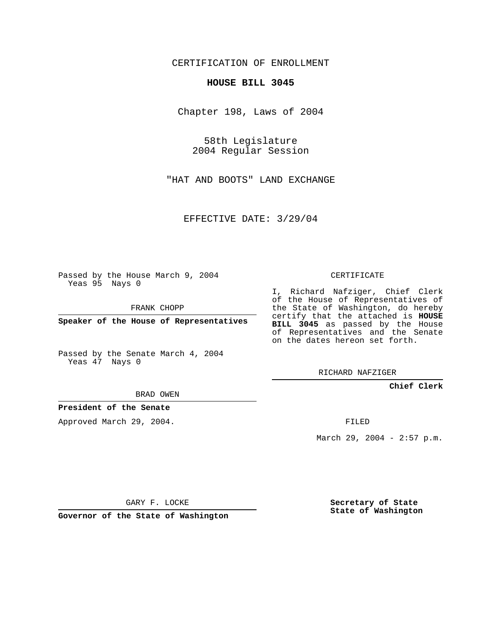CERTIFICATION OF ENROLLMENT

### **HOUSE BILL 3045**

Chapter 198, Laws of 2004

58th Legislature 2004 Regular Session

"HAT AND BOOTS" LAND EXCHANGE

EFFECTIVE DATE: 3/29/04

Passed by the House March 9, 2004 Yeas 95 Nays 0

FRANK CHOPP

**Speaker of the House of Representatives**

Passed by the Senate March 4, 2004 Yeas 47 Nays 0

#### BRAD OWEN

## **President of the Senate**

Approved March 29, 2004.

CERTIFICATE

I, Richard Nafziger, Chief Clerk of the House of Representatives of the State of Washington, do hereby certify that the attached is **HOUSE BILL 3045** as passed by the House of Representatives and the Senate on the dates hereon set forth.

RICHARD NAFZIGER

**Chief Clerk**

FILED

March 29, 2004 - 2:57 p.m.

GARY F. LOCKE

**Governor of the State of Washington**

**Secretary of State State of Washington**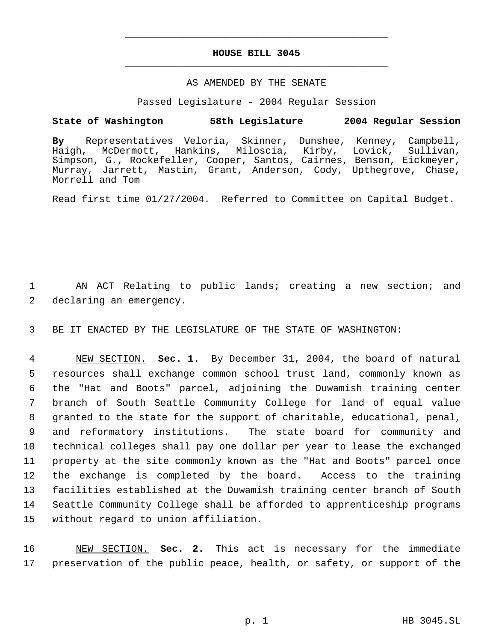# **HOUSE BILL 3045** \_\_\_\_\_\_\_\_\_\_\_\_\_\_\_\_\_\_\_\_\_\_\_\_\_\_\_\_\_\_\_\_\_\_\_\_\_\_\_\_\_\_\_\_\_

\_\_\_\_\_\_\_\_\_\_\_\_\_\_\_\_\_\_\_\_\_\_\_\_\_\_\_\_\_\_\_\_\_\_\_\_\_\_\_\_\_\_\_\_\_

## AS AMENDED BY THE SENATE

Passed Legislature - 2004 Regular Session

## **State of Washington 58th Legislature 2004 Regular Session**

**By** Representatives Veloria, Skinner, Dunshee, Kenney, Campbell, Haigh, McDermott, Hankins, Miloscia, Kirby, Lovick, Sullivan, Simpson, G., Rockefeller, Cooper, Santos, Cairnes, Benson, Eickmeyer, Murray, Jarrett, Mastin, Grant, Anderson, Cody, Upthegrove, Chase, Morrell and Tom

Read first time 01/27/2004. Referred to Committee on Capital Budget.

 1 AN ACT Relating to public lands; creating a new section; and 2 declaring an emergency.

3 BE IT ENACTED BY THE LEGISLATURE OF THE STATE OF WASHINGTON:

 NEW SECTION. **Sec. 1.** By December 31, 2004, the board of natural resources shall exchange common school trust land, commonly known as the "Hat and Boots" parcel, adjoining the Duwamish training center branch of South Seattle Community College for land of equal value granted to the state for the support of charitable, educational, penal, and reformatory institutions. The state board for community and technical colleges shall pay one dollar per year to lease the exchanged property at the site commonly known as the "Hat and Boots" parcel once the exchange is completed by the board. Access to the training facilities established at the Duwamish training center branch of South Seattle Community College shall be afforded to apprenticeship programs without regard to union affiliation.

16 NEW SECTION. **Sec. 2.** This act is necessary for the immediate 17 preservation of the public peace, health, or safety, or support of the